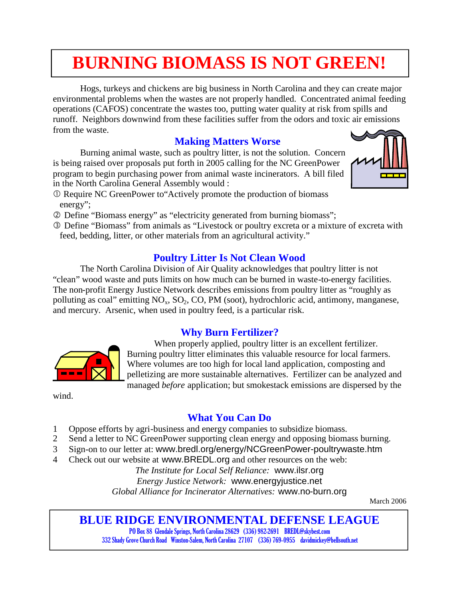## **BURNING BIOMASS IS NOT GREEN!**

Hogs, turkeys and chickens are big business in North Carolina and they can create major environmental problems when the wastes are not properly handled. Concentrated animal feeding operations (CAFOS) concentrate the wastes too, putting water quality at risk from spills and runoff. Neighbors downwind from these facilities suffer from the odors and toxic air emissions from the waste.

### **Making Matters Worse**

Burning animal waste, such as poultry litter, is not the solution. Concern is being raised over proposals put forth in 2005 calling for the NC GreenPower program to begin purchasing power from animal waste incinerators. A bill filed in the North Carolina General Assembly would :

- Require NC GreenPower to"Actively promote the production of biomass energy";
- Define "Biomass energy" as "electricity generated from burning biomass";
- Define "Biomass" from animals as "Livestock or poultry excreta or a mixture of excreta with feed, bedding, litter, or other materials from an agricultural activity."

### **Poultry Litter Is Not Clean Wood**

The North Carolina Division of Air Quality acknowledges that poultry litter is not "clean" wood waste and puts limits on how much can be burned in waste-to-energy facilities. The non-profit Energy Justice Network describes emissions from poultry litter as "roughly as polluting as coal" emitting  $NO_x$ ,  $SO_2$ ,  $CO$ ,  $PM$  (soot), hydrochloric acid, antimony, manganese, and mercury. Arsenic, when used in poultry feed, is a particular risk.

#### **Why Burn Fertilizer?**

When properly applied, poultry litter is an excellent fertilizer. Burning poultry litter eliminates this valuable resource for local farmers. Where volumes are too high for local land application, composting and pelletizing are more sustainable alternatives. Fertilizer can be analyzed and managed *before* application; but smokestack emissions are dispersed by the

wind.

### **What You Can Do**

- 1 Oppose efforts by agri-business and energy companies to subsidize biomass.
- 2 Send a letter to NC GreenPower supporting clean energy and opposing biomass burning.
- 3 Sign-on to our letter at: www.bredl.org/energy/NCGreenPower-poultrywaste.htm
- 4 Check out our website at www.BREDL.org and other resources on the web:

*The Institute for Local Self Reliance:* www.ilsr.org *Energy Justice Network:* www.energyjustice.net *Global Alliance for Incinerator Alternatives:* www.no-burn.org

March 2006

### **BLUE RIDGE ENVIRONMENTAL DEFENSE LEAGUE**

PO Box 88 Glendale Springs, North Carolina 28629 (336) 982-2691 BREDL@skybest.com 332 Shady Grove Church Road Winston-Salem, North Carolina 27107 (336) 769-0955 davidmickey@bellsouth.net